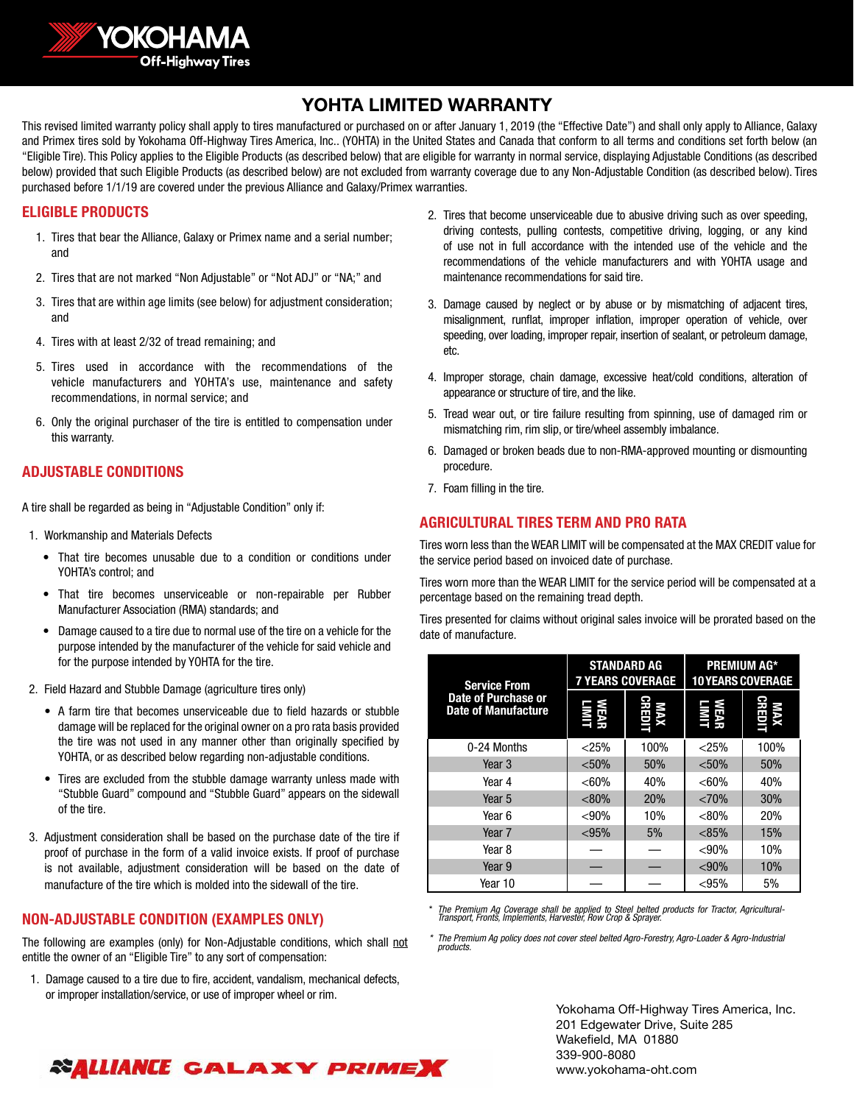

# YOHTA LIMITED WARRANTY

This revised limited warranty policy shall apply to tires manufactured or purchased on or after January 1, 2019 (the "Effective Date") and shall only apply to Alliance, Galaxy and Primex tires sold by Yokohama Off-Highway Tires America, Inc.. (YOHTA) in the United States and Canada that conform to all terms and conditions set forth below (an "Eligible Tire). This Policy applies to the Eligible Products (as described below) that are eligible for warranty in normal service, displaying Adjustable Conditions (as described below) provided that such Eligible Products (as described below) are not excluded from warranty coverage due to any Non-Adjustable Condition (as described below). Tires purchased before 1/1/19 are covered under the previous Alliance and Galaxy/Primex warranties.

## **ELIGIBLE PRODUCTS**

- 1. Tires that bear the Alliance, Galaxy or Primex name and a serial number; and
- 2. Tires that are not marked "Non Adjustable" or "Not ADJ" or "NA;" and
- 3. Tires that are within age limits (see below) for adjustment consideration; and
- 4. Tires with at least 2/32 of tread remaining; and
- 5. Tires used in accordance with the recommendations of the vehicle manufacturers and YOHTA's use, maintenance and safety recommendations, in normal service; and
- 6. Only the original purchaser of the tire is entitled to compensation under this warranty.

### **ADJUSTABLE CONDITIONS**

A tire shall be regarded as being in "Adjustable Condition" only if:

- 1. Workmanship and Materials Defects
	- That tire becomes unusable due to a condition or conditions under YOHTA's control; and
	- That tire becomes unserviceable or non-repairable per Rubber Manufacturer Association (RMA) standards; and
	- Damage caused to a tire due to normal use of the tire on a vehicle for the purpose intended by the manufacturer of the vehicle for said vehicle and for the purpose intended by YOHTA for the tire.
- 2. Field Hazard and Stubble Damage (agriculture tires only)
	- A farm tire that becomes unserviceable due to field hazards or stubble damage will be replaced for the original owner on a pro rata basis provided the tire was not used in any manner other than originally specified by YOHTA, or as described below regarding non-adjustable conditions.
	- Tires are excluded from the stubble damage warranty unless made with "Stubble Guard" compound and "Stubble Guard" appears on the sidewall of the tire.
- 3. Adjustment consideration shall be based on the purchase date of the tire if proof of purchase in the form of a valid invoice exists. If proof of purchase is not available, adjustment consideration will be based on the date of manufacture of the tire which is molded into the sidewall of the tire.

### **NON-ADJUSTABLE CONDITION (EXAMPLES ONLY)**

The following are examples (only) for Non-Adjustable conditions, which shall not entitle the owner of an "Eligible Tire" to any sort of compensation:

1. Damage caused to a tire due to fire, accident, vandalism, mechanical defects, or improper installation/service, or use of improper wheel or rim.

- 2. Tires that become unserviceable due to abusive driving such as over speeding, driving contests, pulling contests, competitive driving, logging, or any kind of use not in full accordance with the intended use of the vehicle and the recommendations of the vehicle manufacturers and with YOHTA usage and maintenance recommendations for said tire.
- 3. Damage caused by neglect or by abuse or by mismatching of adjacent tires, misalignment, runflat, improper inflation, improper operation of vehicle, over speeding, over loading, improper repair, insertion of sealant, or petroleum damage, etc.
- 4. Improper storage, chain damage, excessive heat/cold conditions, alteration of appearance or structure of tire, and the like.
- 5. Tread wear out, or tire failure resulting from spinning, use of damaged rim or mismatching rim, rim slip, or tire/wheel assembly imbalance.
- 6. Damaged or broken beads due to non-RMA-approved mounting or dismounting procedure.
- 7. Foam filling in the tire.

### **AGRICULTURAL TIRES TERM AND PRO RATA**

Tires worn less than the WEAR LIMIT will be compensated at the MAX CREDIT value for the service period based on invoiced date of purchase.

Tires worn more than the WEAR LIMIT for the service period will be compensated at a percentage based on the remaining tread depth.

Tires presented for claims without original sales invoice will be prorated based on the date of manufacture.

| <b>Service From</b><br>Date of Purchase or<br><b>Date of Manufacture</b> | <b>STANDARD AG</b><br><b>7 YEARS COVERAGE</b> |               | <b>PREMIUM AG*</b><br><b>10 YEARS COVERAGE</b> |            |
|--------------------------------------------------------------------------|-----------------------------------------------|---------------|------------------------------------------------|------------|
|                                                                          |                                               | MAX<br>Credit | LIMIT<br>LIMIT                                 | Ď          |
| 0-24 Months                                                              | < 25%                                         | 100%          | $<$ 25%                                        | 100%       |
| Year 3                                                                   | < 50%                                         | 50%           | < 50%                                          | 50%        |
| Year 4                                                                   | < 60%                                         | 40%           | < 60%                                          | 40%        |
| Year 5                                                                   | < 80%                                         | 20%           | ${<}70%$                                       | 30%        |
| Year 6                                                                   | < 90%                                         | 10%           | < 80%                                          | <b>20%</b> |
| Year 7                                                                   | < 95%                                         | 5%            | < 85%                                          | 15%        |
| Year 8                                                                   |                                               |               | $< 90\%$                                       | 10%        |
| Year 9                                                                   |                                               |               | $<$ 90%                                        | 10%        |
| Year 10                                                                  |                                               |               | < 95%                                          | 5%         |

\* *The Premium Ag Coverage shall be applied to Steel belted products for Tractor, Agricultural-Transport, Fronts, Implements, Harvester, Row Crop & Sprayer.* 

*\* The Premium Ag policy does not cover steel belted Agro-Forestry, Agro-Loader & Agro-Industrial products.*

> Yokohama Off-Highway Tires America, Inc. 201 Edgewater Drive, Suite 285 Wakefield, MA 01880 339-900-8080 www.yokohama-oht.com